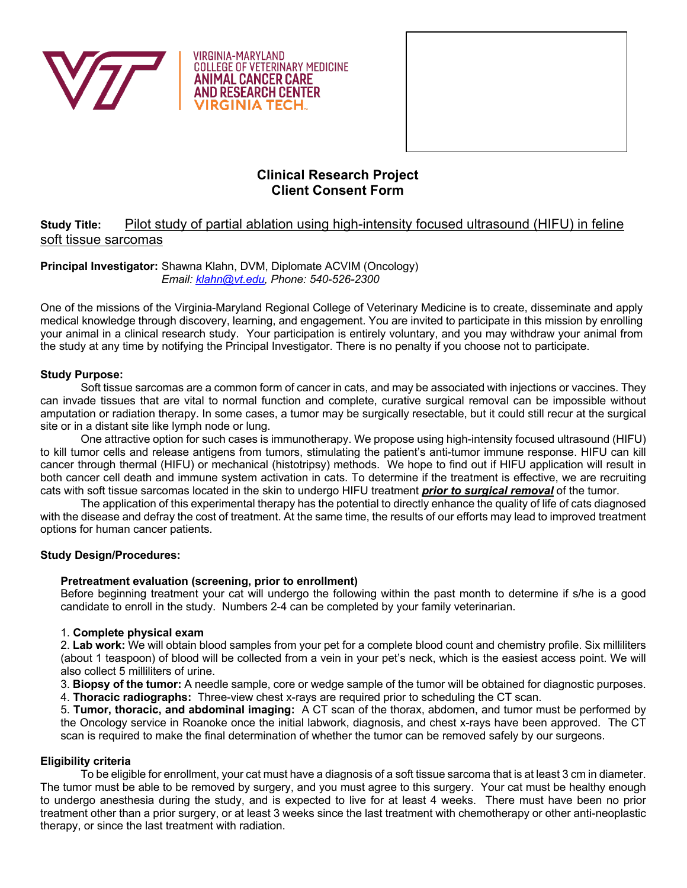

**VIRGINIA-MARYLAND COLLEGE OF VETERINARY MEDICINE ANIMAL CANCER CARE AND RESEARCH CENTER RGINIA TECH.** 



# **Clinical Research Project Client Consent Form**

# **Study Title:** Pilot study of partial ablation using high-intensity focused ultrasound (HIFU) in feline soft tissue sarcomas

## **Principal Investigator:** Shawna Klahn, DVM, Diplomate ACVIM (Oncology) *Email: klahn@vt.edu, Phone: 540-526-2300*

One of the missions of the Virginia-Maryland Regional College of Veterinary Medicine is to create, disseminate and apply medical knowledge through discovery, learning, and engagement. You are invited to participate in this mission by enrolling your animal in a clinical research study. Your participation is entirely voluntary, and you may withdraw your animal from the study at any time by notifying the Principal Investigator. There is no penalty if you choose not to participate.

## **Study Purpose:**

Soft tissue sarcomas are a common form of cancer in cats, and may be associated with injections or vaccines. They can invade tissues that are vital to normal function and complete, curative surgical removal can be impossible without amputation or radiation therapy. In some cases, a tumor may be surgically resectable, but it could still recur at the surgical site or in a distant site like lymph node or lung.

One attractive option for such cases is immunotherapy. We propose using high-intensity focused ultrasound (HIFU) to kill tumor cells and release antigens from tumors, stimulating the patient's anti-tumor immune response. HIFU can kill cancer through thermal (HIFU) or mechanical (histotripsy) methods. We hope to find out if HIFU application will result in both cancer cell death and immune system activation in cats. To determine if the treatment is effective, we are recruiting cats with soft tissue sarcomas located in the skin to undergo HIFU treatment *prior to surgical removal* of the tumor.

The application of this experimental therapy has the potential to directly enhance the quality of life of cats diagnosed with the disease and defray the cost of treatment. At the same time, the results of our efforts may lead to improved treatment options for human cancer patients.

## **Study Design/Procedures:**

## **Pretreatment evaluation (screening, prior to enrollment)**

Before beginning treatment your cat will undergo the following within the past month to determine if s/he is a good candidate to enroll in the study. Numbers 2-4 can be completed by your family veterinarian.

## 1. **Complete physical exam**

2. **Lab work:** We will obtain blood samples from your pet for a complete blood count and chemistry profile. Six milliliters (about 1 teaspoon) of blood will be collected from a vein in your pet's neck, which is the easiest access point. We will also collect 5 milliliters of urine.

3. **Biopsy of the tumor:** A needle sample, core or wedge sample of the tumor will be obtained for diagnostic purposes.

4. **Thoracic radiographs:** Three-view chest x-rays are required prior to scheduling the CT scan.

5. **Tumor, thoracic, and abdominal imaging:** A CT scan of the thorax, abdomen, and tumor must be performed by the Oncology service in Roanoke once the initial labwork, diagnosis, and chest x-rays have been approved. The CT scan is required to make the final determination of whether the tumor can be removed safely by our surgeons.

## **Eligibility criteria**

To be eligible for enrollment, your cat must have a diagnosis of a soft tissue sarcoma that is at least 3 cm in diameter. The tumor must be able to be removed by surgery, and you must agree to this surgery. Your cat must be healthy enough to undergo anesthesia during the study, and is expected to live for at least 4 weeks. There must have been no prior treatment other than a prior surgery, or at least 3 weeks since the last treatment with chemotherapy or other anti-neoplastic therapy, or since the last treatment with radiation.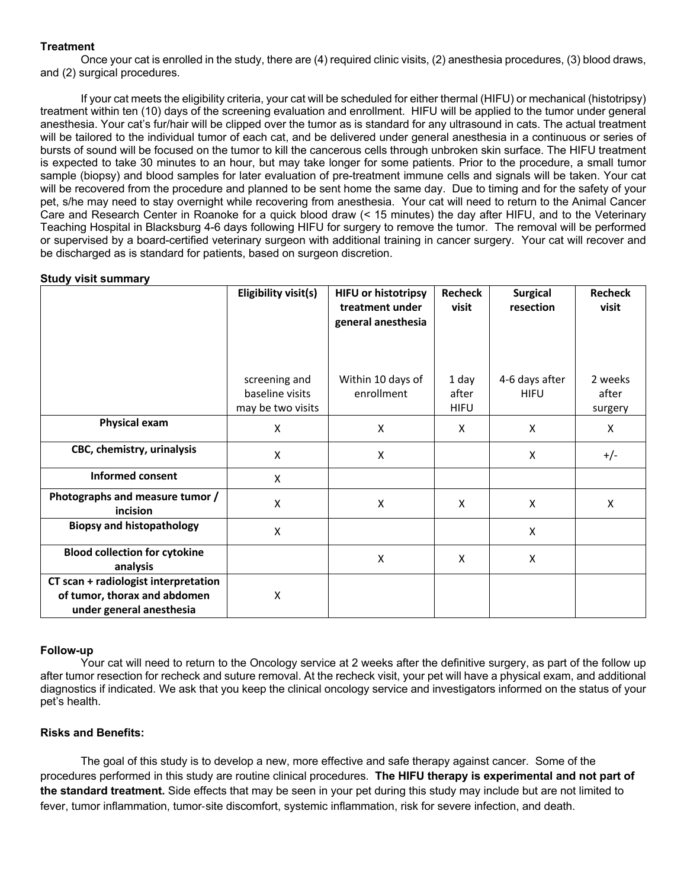## **Treatment**

Once your cat is enrolled in the study, there are (4) required clinic visits, (2) anesthesia procedures, (3) blood draws, and (2) surgical procedures.

If your cat meets the eligibility criteria, your cat will be scheduled for either thermal (HIFU) or mechanical (histotripsy) treatment within ten (10) days of the screening evaluation and enrollment. HIFU will be applied to the tumor under general anesthesia. Your cat's fur/hair will be clipped over the tumor as is standard for any ultrasound in cats. The actual treatment will be tailored to the individual tumor of each cat, and be delivered under general anesthesia in a continuous or series of bursts of sound will be focused on the tumor to kill the cancerous cells through unbroken skin surface. The HIFU treatment is expected to take 30 minutes to an hour, but may take longer for some patients. Prior to the procedure, a small tumor sample (biopsy) and blood samples for later evaluation of pre-treatment immune cells and signals will be taken. Your cat will be recovered from the procedure and planned to be sent home the same day. Due to timing and for the safety of your pet, s/he may need to stay overnight while recovering from anesthesia. Your cat will need to return to the Animal Cancer Care and Research Center in Roanoke for a quick blood draw (< 15 minutes) the day after HIFU, and to the Veterinary Teaching Hospital in Blacksburg 4-6 days following HIFU for surgery to remove the tumor. The removal will be performed or supervised by a board-certified veterinary surgeon with additional training in cancer surgery. Your cat will recover and be discharged as is standard for patients, based on surgeon discretion.

#### **Study visit summary**

|                                                                                                  | Eligibility visit(s)                                  | <b>HIFU or histotripsy</b><br>treatment under<br>general anesthesia | Recheck<br>visit              | <b>Surgical</b><br>resection  | <b>Recheck</b><br>visit     |
|--------------------------------------------------------------------------------------------------|-------------------------------------------------------|---------------------------------------------------------------------|-------------------------------|-------------------------------|-----------------------------|
|                                                                                                  | screening and<br>baseline visits<br>may be two visits | Within 10 days of<br>enrollment                                     | 1 day<br>after<br><b>HIFU</b> | 4-6 days after<br><b>HIFU</b> | 2 weeks<br>after<br>surgery |
| <b>Physical exam</b>                                                                             | $\pmb{\mathsf{X}}$                                    | X                                                                   | X                             | X                             | X                           |
| CBC, chemistry, urinalysis                                                                       | X                                                     | X                                                                   |                               | X                             | $+/-$                       |
| <b>Informed consent</b>                                                                          | $\pmb{\mathsf{X}}$                                    |                                                                     |                               |                               |                             |
| Photographs and measure tumor /<br>incision                                                      | $\mathsf{X}$                                          | X                                                                   | X                             | X                             | X                           |
| <b>Biopsy and histopathology</b>                                                                 | $\mathsf{X}$                                          |                                                                     |                               | X                             |                             |
| <b>Blood collection for cytokine</b><br>analysis                                                 |                                                       | X                                                                   | X                             | X                             |                             |
| CT scan + radiologist interpretation<br>of tumor, thorax and abdomen<br>under general anesthesia | $\pmb{\mathsf{X}}$                                    |                                                                     |                               |                               |                             |

#### **Follow-up**

Your cat will need to return to the Oncology service at 2 weeks after the definitive surgery, as part of the follow up after tumor resection for recheck and suture removal. At the recheck visit, your pet will have a physical exam, and additional diagnostics if indicated. We ask that you keep the clinical oncology service and investigators informed on the status of your pet's health.

## **Risks and Benefits:**

The goal of this study is to develop a new, more effective and safe therapy against cancer. Some of the procedures performed in this study are routine clinical procedures. **The HIFU therapy is experimental and not part of the standard treatment.** Side effects that may be seen in your pet during this study may include but are not limited to fever, tumor inflammation, tumor-site discomfort, systemic inflammation, risk for severe infection, and death.